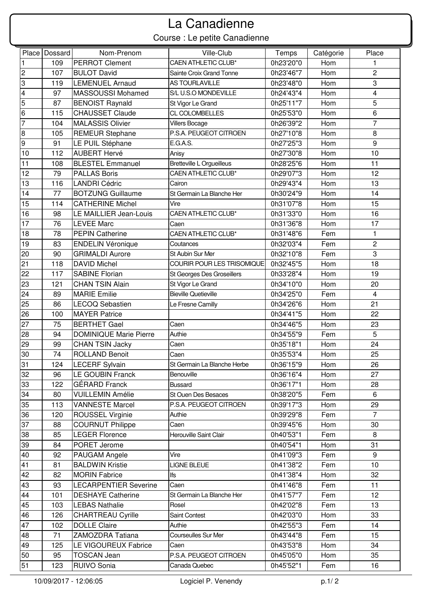## Course : Le petite Canadienne La Canadienne

|                 | Place   Dossard | Nom-Prenom                    | Ville-Club                       | Temps     | Catégorie | Place                   |
|-----------------|-----------------|-------------------------------|----------------------------------|-----------|-----------|-------------------------|
| 1               | 109             | <b>PERROT Clement</b>         | <b>CAEN ATHLETIC CLUB*</b>       | 0h23'20"0 | Hom       | 1                       |
| 2               | 107             | <b>BULOT David</b>            | Sainte Croix Grand Tonne         | 0h23'46"7 | Hom       | $\overline{2}$          |
| 3               | 119             | <b>LEMENUEL Arnaud</b>        | <b>AS TOURLAVILLE</b>            | 0h23'48"0 | Hom       | 3                       |
| 4               | 97              | MASSOUSSI Mohamed             | S/L U.S.O MONDEVILLE             | 0h24'43"4 | Hom       | 4                       |
| 5               | 87              | <b>BENOIST Raynald</b>        | St Vigor Le Grand                | 0h25'11"7 | Hom       | 5                       |
| 6               | 115             | <b>CHAUSSET Claude</b>        | CL COLOMBELLES                   | 0h25'53"0 | Hom       | 6                       |
| $\overline{7}$  | 104             | <b>MALASSIS Olivier</b>       | <b>Villers Bocage</b>            | 0h26'39"2 | Hom       | $\overline{7}$          |
| 8               | 105             | <b>REMEUR Stephane</b>        | P.S.A. PEUGEOT CITROEN           | 0h27'10"8 | Hom       | 8                       |
| 9               | 91              | LE PUIL Stéphane              | E.G.A.S.                         | 0h27'25"3 | Hom       | 9                       |
| 10              | 112             | <b>AUBERT Hervé</b>           | Anisy                            | 0h27'30"8 | Hom       | 10                      |
| 11              | 108             | <b>BLESTEL Emmanuel</b>       | <b>Bretteville L Orgueilleus</b> | 0h28'25"6 | Hom       | 11                      |
| 12              | 79              | <b>PALLAS Boris</b>           | <b>CAEN ATHLETIC CLUB*</b>       | 0h29'07"3 | Hom       | 12                      |
| 13              | 116             | <b>LANDRI Cédric</b>          | Cairon                           | 0h29'43"4 | Hom       | 13                      |
| 14              | 77              | <b>BOTZUNG Guillaume</b>      | St Germain La Blanche Her        | 0h30'24"9 | Hom       | 14                      |
| 15              | 114             | <b>CATHERINE Michel</b>       | Vire                             | 0h31'07"8 | Hom       | 15                      |
| 16              | 98              | LE MAILLIER Jean-Louis        | <b>CAEN ATHLETIC CLUB*</b>       | 0h31'33"0 | Hom       | 16                      |
| 17              | 76              | <b>LEVEE Marc</b>             | Caen                             | 0h31'36"8 | Hom       | 17                      |
| 18              | 78              | <b>PEPIN Catherine</b>        | <b>CAEN ATHLETIC CLUB*</b>       | 0h31'48"6 | Fem       | 1                       |
| 19              | 83              | <b>ENDELIN Véronique</b>      | Coutances                        | 0h32'03"4 | Fem       | $\overline{c}$          |
| 20              | 90              | <b>GRIMALDI Aurore</b>        | St Aubin Sur Mer                 | 0h32'10"8 | Fem       | 3                       |
| 21              | 118             | <b>DAVID Michel</b>           | COURIR POUR LES TRISOMIQUE       | 0h32'45"5 | Hom       | 18                      |
| 22              | 117             | <b>SABINE Florian</b>         | St Georges Des Groseillers       | 0h33'28"4 | Hom       | 19                      |
| 23              | 121             | <b>CHAN TSIN Alain</b>        | St Vigor Le Grand                | 0h34'10"0 | Hom       | 20                      |
| 24              | 89              | <b>MARIE</b> Emilie           | <b>Bieville Quetieville</b>      | 0h34'25"0 | Fem       | $\overline{\mathbf{4}}$ |
| 25              | 86              | <b>LECOQ Sebastien</b>        | Le Fresne Camilly                | 0h34'26"6 | Hom       | 21                      |
| 26              | 100             | <b>MAYER Patrice</b>          |                                  | 0h34'41"5 | Hom       | 22                      |
| 27              | 75              | <b>BERTHET Gael</b>           | Caen                             | 0h34'46"5 | Hom       | 23                      |
| 28              | 94              | <b>DOMINIQUE Marie Pierre</b> | Authie                           | 0h34'55"9 | Fem       | 5                       |
| 29              | 99              | <b>CHAN TSIN Jacky</b>        | Caen                             | 0h35'18"1 | Hom       | 24                      |
| 30              | 74              | <b>ROLLAND Benoit</b>         | Caen                             | 0h35'53"4 | Hom       | 25                      |
| $\overline{31}$ | 124             | LECERF Sylvain                | St Germain La Blanche Herbe      | 0h36'15"9 | Hom       | 26                      |
| 32              | 96              | LE GOUBIN Franck              | Benouville                       | 0h36'16"4 | Hom       | 27                      |
| 33              | 122             | <b>GÉRARD</b> Franck          | <b>Bussard</b>                   | 0h36'17"1 | Hom       | 28                      |
| 34              | 80              | <b>VUILLEMIN Amélie</b>       | St Ouen Des Besaces              | 0h38'20"5 | Fem       | 6                       |
| 35              | 113             | <b>VANNESTE Marcel</b>        | P.S.A. PEUGEOT CITROEN           | 0h39'17"3 | Hom       | 29                      |
| 36              | 120             | <b>ROUSSEL Virginie</b>       | Authie                           | 0h39'29"8 | Fem       | $\overline{7}$          |
| 37              | 88              | <b>COURNUT Philippe</b>       | Caen                             | 0h39'45"6 | Hom       | 30                      |
| 38              | 85              | <b>LEGER Florence</b>         | Herouville Saint Clair           | 0h40'53"1 | Fem       | 8                       |
| 39              | 84              | PORET Jerome                  |                                  | 0h40'54"1 | Hom       | 31                      |
| 40              | 92              | PAUGAM Angele                 | Vire                             | 0h41'09"3 | Fem       | 9                       |
| 41              | 81              | <b>BALDWIN Kristie</b>        | <b>LIGNE BLEUE</b>               | 0h41'38"2 | Fem       | 10                      |
| 42              | 82              | <b>MORIN Fabrice</b>          | lfs                              | 0h41'38"4 | Hom       | 32                      |
| 43              | 93              | <b>LECARPENTIER Severine</b>  | Caen                             | 0h41'46"8 | Fem       | 11                      |
| 44              | 101             | <b>DESHAYE Catherine</b>      | St Germain La Blanche Her        | 0h41'57"7 | Fem       | 12                      |
| 45              | 103             | <b>LEBAS Nathalie</b>         | Rosel                            | 0h42'02"8 | Fem       | 13                      |
| 46              | 126             | <b>CHARTREAU Cyrille</b>      | Saint Contest                    | 0h42'03"0 | Hom       | 33                      |
| 47              | 102             | <b>DOLLE Claire</b>           | Authie                           | 0h42'55"3 | Fem       | 14                      |
| 48              | 71              | ZAMOZDRA Tatiana              | Courseulles Sur Mer              | 0h43'44"8 | Fem       | 15                      |
| 49              | 125             | LE VIGOUREUX Fabrice          | Caen                             | 0h43'53"8 | Hom       | 34                      |
| 50              | 95              | <b>TOSCAN Jean</b>            | P.S.A. PEUGEOT CITROEN           | 0h45'05"0 | Hom       | 35                      |
| 51              | 123             | <b>RUIVO Sonia</b>            | Canada Quebec                    | 0h45'52"1 | Fem       | 16                      |